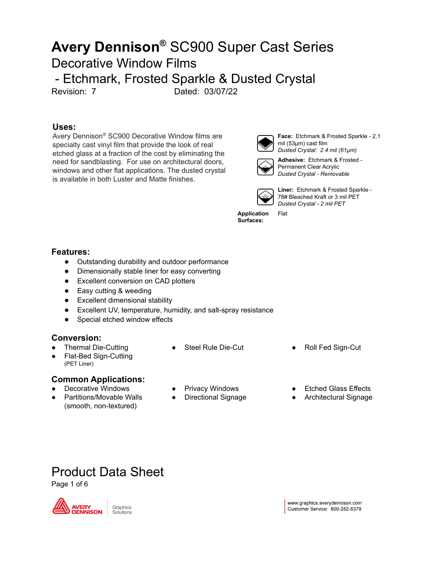### **Uses:**

Avery Dennison ® SC900 Decorative Window films are specialty cast vinyl film that provide the look of real etched glass at a fraction of the cost by eliminating the need for sandblasting. For use on architectural doors, windows and other flat applications. The dusted crystal is available in both Luster and Matte finishes.



**Face:** Etchmark & Frosted Sparkle - 2.1 mil (53µm) cast film *Dusted Crystal: 2.4 mil (61µm)*



**Adhesive:** Etchmark & Frosted - Permanent Clear Acrylic *Dusted Crystal - Removable*



Flat

**Liner:** Etchmark & Frosted Sparkle - 78# Bleached Kraft or 3 mil PET *Dusted Crystal - 2 mil PET*

**Application Surfaces:**

### **Features:**

- Outstanding durability and outdoor performance
- Dimensionally stable liner for easy converting
- Excellent conversion on CAD plotters
- Easy cutting & weeding
- Excellent dimensional stability
- Excellent UV, temperature, humidity, and salt-spray resistance
- Special etched window effects

### **Conversion:**

- **Thermal Die-Cutting**
- **Flat-Bed Sign-Cutting** (PET Liner)

### **Common Applications:**

- Decorative Windows
- Partitions/Movable Walls (smooth, non-textured)
- 
- 
- Privacy Windows
- Directional Signage
- Steel Rule Die-Cut Roll Fed Sign-Cut
	- **Etched Glass Effects**
	- Architectural Signage

Product Data Sheet

Page 1 of 6



Graphics Solutions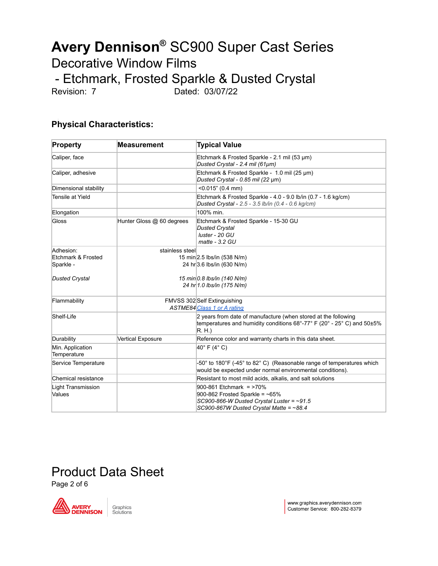### **Physical Characteristics:**

| <b>Property</b>                     | <b>Measurement</b>        | <b>Typical Value</b>                                                                                                                                          |
|-------------------------------------|---------------------------|---------------------------------------------------------------------------------------------------------------------------------------------------------------|
| Caliper, face                       |                           | Etchmark & Frosted Sparkle - 2.1 mil (53 µm)<br>Dusted Crystal - 2.4 mil (61µm)                                                                               |
| Caliper, adhesive                   |                           | Etchmark & Frosted Sparkle - 1.0 mil (25 µm)<br>Dusted Crystal - 0.85 mil (22 µm)                                                                             |
| Dimensional stability               |                           | $< 0.015$ " (0.4 mm)                                                                                                                                          |
| Tensile at Yield                    |                           | Etchmark & Frosted Sparkle - 4.0 - 9.0 lb/in (0.7 - 1.6 kg/cm)<br>Dusted Crystal - 2.5 - 3.5 lb/in (0.4 - 0.6 kg/cm)                                          |
| Elongation                          |                           | 100% min.                                                                                                                                                     |
| Gloss                               | Hunter Gloss @ 60 degrees | Etchmark & Frosted Sparkle - 15-30 GU<br><b>Dusted Crystal</b><br>luster - 20 GU<br>$mate - 3.2 GU$                                                           |
| Adhesion:                           | stainless steel           |                                                                                                                                                               |
| Etchmark & Frosted                  |                           | 15 min 2.5 lbs/in (538 N/m)                                                                                                                                   |
| Sparkle -                           |                           | 24 hr 3.6 lbs/in (630 N/m)                                                                                                                                    |
| <b>Dusted Crystal</b>               |                           | 15 min 0.8 lbs/in (140 N/m)<br>24 hr 1.0 lbs/in (175 N/m)                                                                                                     |
| Flammability                        |                           | FMVSS 302 Self Extinguishing<br>ASTME84 Class 1 or A rating                                                                                                   |
| Shelf-Life                          |                           | 2 years from date of manufacture (when stored at the following<br>temperatures and humidity conditions $68^{\circ}$ -77° F (20° - 25° C) and 50±5%<br>$R$ H.) |
| Durability                          | Vertical Exposure         | Reference color and warranty charts in this data sheet.                                                                                                       |
| Min. Application<br>Temperature     |                           | 40°F (4°C)                                                                                                                                                    |
| Service Temperature                 |                           | -50° to 180°F (-45° to 82° C) (Reasonable range of temperatures which<br>would be expected under normal environmental conditions).                            |
| Chemical resistance                 |                           | Resistant to most mild acids, alkalis, and salt solutions                                                                                                     |
| <b>Light Transmission</b><br>Values |                           | 900-861 Etchmark = >70%<br>900-862 Frosted Sparkle = $~5\%$<br>SC900-866-W Dusted Crystal Luster = $~1.5$                                                     |
|                                     |                           | SC900-867W Dusted Crystal Matte = $~88.4$                                                                                                                     |

## Product Data Sheet

Page 2 of 6



www.graphics.averydennison.com Customer Service: 800-282-8379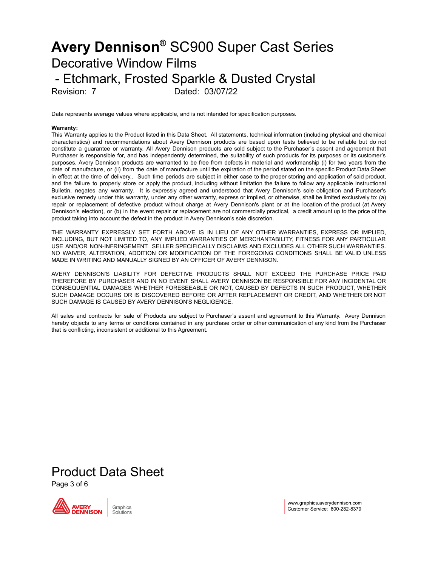Data represents average values where applicable, and is not intended for specification purposes.

#### **Warranty:**

This Warranty applies to the Product listed in this Data Sheet. All statements, technical information (including physical and chemical characteristics) and recommendations about Avery Dennison products are based upon tests believed to be reliable but do not constitute a guarantee or warranty. All Avery Dennison products are sold subject to the Purchaser's assent and agreement that Purchaser is responsible for, and has independently determined, the suitability of such products for its purposes or its customer's purposes. Avery Dennison products are warranted to be free from defects in material and workmanship (i) for two years from the date of manufacture, or (ii) from the date of manufacture until the expiration of the period stated on the specific Product Data Sheet in effect at the time of delivery.. Such time periods are subject in either case to the proper storing and application of said product, and the failure to properly store or apply the product, including without limitation the failure to follow any applicable Instructional Bulletin, negates any warranty. It is expressly agreed and understood that Avery Dennison's sole obligation and Purchaser's exclusive remedy under this warranty, under any other warranty, express or implied, or otherwise, shall be limited exclusively to: (a) repair or replacement of defective product without charge at Avery Dennison's plant or at the location of the product (at Avery Dennison's election), or (b) in the event repair or replacement are not commercially practical, a credit amount up to the price of the product taking into account the defect in the product in Avery Dennison's sole discretion.

THE WARRANTY EXPRESSLY SET FORTH ABOVE IS IN LIEU OF ANY OTHER WARRANTIES, EXPRESS OR IMPLIED, INCLUDING, BUT NOT LIMITED TO, ANY IMPLIED WARRANTIES OF MERCHANTABILITY, FITNESS FOR ANY PARTICULAR USE AND/OR NON-INFRINGEMENT. SELLER SPECIFICALLY DISCLAIMS AND EXCLUDES ALL OTHER SUCH WARRANTIES. NO WAIVER, ALTERATION, ADDITION OR MODIFICATION OF THE FOREGOING CONDITIONS SHALL BE VALID UNLESS MADE IN WRITING AND MANUALLY SIGNED BY AN OFFICER OF AVERY DENNISON.

AVERY DENNISON'S LIABILITY FOR DEFECTIVE PRODUCTS SHALL NOT EXCEED THE PURCHASE PRICE PAID THEREFORE BY PURCHASER AND IN NO EVENT SHALL AVERY DENNISON BE RESPONSIBLE FOR ANY INCIDENTAL OR CONSEQUENTIAL DAMAGES WHETHER FORESEEABLE OR NOT, CAUSED BY DEFECTS IN SUCH PRODUCT, WHETHER SUCH DAMAGE OCCURS OR IS DISCOVERED BEFORE OR AFTER REPLACEMENT OR CREDIT, AND WHETHER OR NOT SUCH DAMAGE IS CAUSED BY AVERY DENNISON'S NEGLIGENCE.

All sales and contracts for sale of Products are subject to Purchaser's assent and agreement to this Warranty. Avery Dennison hereby objects to any terms or conditions contained in any purchase order or other communication of any kind from the Purchaser that is conflicting, inconsistent or additional to this Agreement.

# Product Data Sheet

Page 3 of 6



www.graphics.averydennison.com Customer Service: 800-282-8379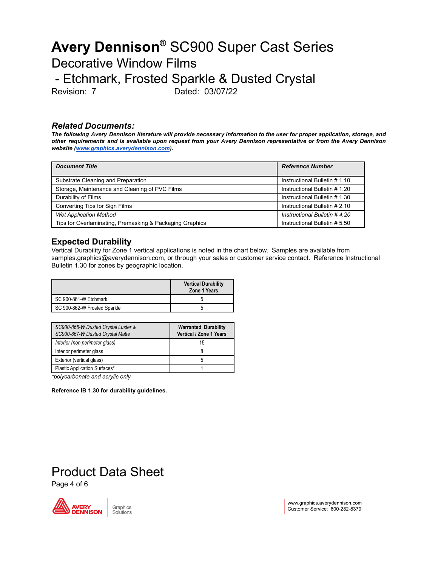#### *Related Documents:*

The following Avery Dennison literature will provide necessary information to the user for proper application, storage, and other requirements and is available upon request from your Avery Dennison representative or from the Avery Dennison *website [\(www.graphics.averydennison.com](http://www.graphics.averydennison.com/)).*

| <b>Document Title</b>                                    | <b>Reference Number</b>       |  |
|----------------------------------------------------------|-------------------------------|--|
| Substrate Cleaning and Preparation                       | Instructional Bulletin #1.10  |  |
| Storage, Maintenance and Cleaning of PVC Films           | Instructional Bulletin #1.20  |  |
| Durability of Films                                      | Instructional Bulletin #1.30  |  |
| Converting Tips for Sign Films                           | Instructional Bulletin # 2.10 |  |
| <b>Wet Application Method</b>                            | Instructional Bulletin #4.20  |  |
| Tips for Overlaminating, Premasking & Packaging Graphics | Instructional Bulletin # 5.50 |  |

### **Expected Durability**

Vertical Durability for Zone 1 vertical applications is noted in the chart below. Samples are available from samples.graphics@averydennison.com, or through your sales or customer service contact. Reference Instructional Bulletin 1.30 for zones by geographic location.

|                              | <b>Vertical Durability</b><br><b>Zone 1 Years</b> |
|------------------------------|---------------------------------------------------|
| SC 900-861-W Etchmark        |                                                   |
| SC 900-862-W Frosted Sparkle | G                                                 |

| SC900-866-W Dusted Crystal Luster &<br>SC900-867-W Dusted Crystal Matte | <b>Warranted Durability</b><br>Vertical / Zone 1 Years |  |  |
|-------------------------------------------------------------------------|--------------------------------------------------------|--|--|
| Interior (non perimeter glass)                                          | 15                                                     |  |  |
| Interior perimeter glass                                                |                                                        |  |  |
| Exterior (vertical glass)                                               | h                                                      |  |  |
| Plastic Application Surfaces*                                           |                                                        |  |  |

*\*polycarbonate and acrylic only*

**Reference IB 1.30 for durability guidelines.**

## Product Data Sheet

Page 4 of 6



Graphics Solutions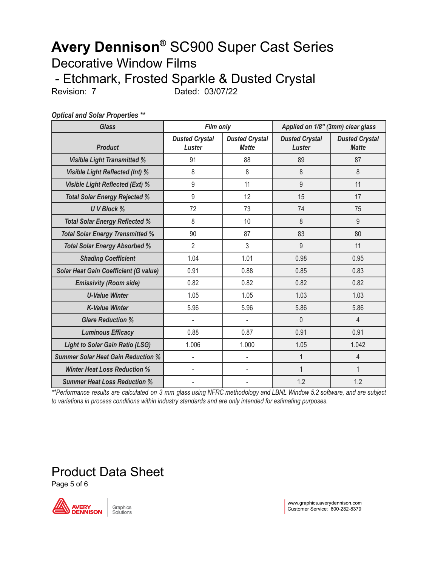*Optical and Solar Properties \*\**

| <b>Glass</b>                                 | <b>Film only</b>                |                                       | Applied on 1/8" (3mm) clear glass |                                       |
|----------------------------------------------|---------------------------------|---------------------------------------|-----------------------------------|---------------------------------------|
| <b>Product</b>                               | <b>Dusted Crystal</b><br>Luster | <b>Dusted Crystal</b><br><b>Matte</b> | <b>Dusted Crystal</b><br>Luster   | <b>Dusted Crystal</b><br><b>Matte</b> |
| <b>Visible Light Transmitted %</b>           | 91                              | 88                                    | 89                                | 87                                    |
| <b>Visible Light Reflected (Int) %</b>       | 8                               | 8                                     | 8                                 | 8                                     |
| <b>Visible Light Reflected (Ext) %</b>       | 9                               | 11                                    | 9                                 | 11                                    |
| <b>Total Solar Energy Rejected %</b>         | 9                               | 12                                    | 15                                | 17                                    |
| <b>UV Block %</b>                            | 72                              | 73                                    | 74                                | 75                                    |
| <b>Total Solar Energy Reflected %</b>        | 8                               | 10                                    | 8                                 | 9                                     |
| <b>Total Solar Energy Transmitted %</b>      | 90                              | 87                                    | 83                                | 80                                    |
| <b>Total Solar Energy Absorbed %</b>         | $\overline{2}$                  | 3                                     | 9                                 | 11                                    |
| <b>Shading Coefficient</b>                   | 1.04                            | 1.01                                  | 0.98                              | 0.95                                  |
| <b>Solar Heat Gain Coefficient (G value)</b> | 0.91                            | 0.88                                  | 0.85                              | 0.83                                  |
| <b>Emissivity (Room side)</b>                | 0.82                            | 0.82                                  | 0.82                              | 0.82                                  |
| <b>U-Value Winter</b>                        | 1.05                            | 1.05                                  | 1.03                              | 1.03                                  |
| <b>K-Value Winter</b>                        | 5.96                            | 5.96                                  | 5.86                              | 5.86                                  |
| <b>Glare Reduction %</b>                     | L,                              |                                       | $\overline{0}$                    | $\overline{4}$                        |
| <b>Luminous Efficacy</b>                     | 0.88                            | 0.87                                  | 0.91                              | 0.91                                  |
| <b>Light to Solar Gain Ratio (LSG)</b>       | 1.006                           | 1.000                                 | 1.05                              | 1.042                                 |
| <b>Summer Solar Heat Gain Reduction %</b>    | $\blacksquare$                  | $\overline{\phantom{a}}$              | 1                                 | $\overline{4}$                        |
| <b>Winter Heat Loss Reduction %</b>          |                                 |                                       | $\mathbf{1}$                      | 1                                     |
| <b>Summer Heat Loss Reduction %</b>          |                                 |                                       | 1.2                               | 1.2                                   |

\*\*Performance results are calculated on 3 mm glass using NFRC methodology and LBNL Window 5.2 software, and are subject *to variations in process conditions within industry standards and are only intended for estimating purposes.*

# Product Data Sheet

Page 5 of 6